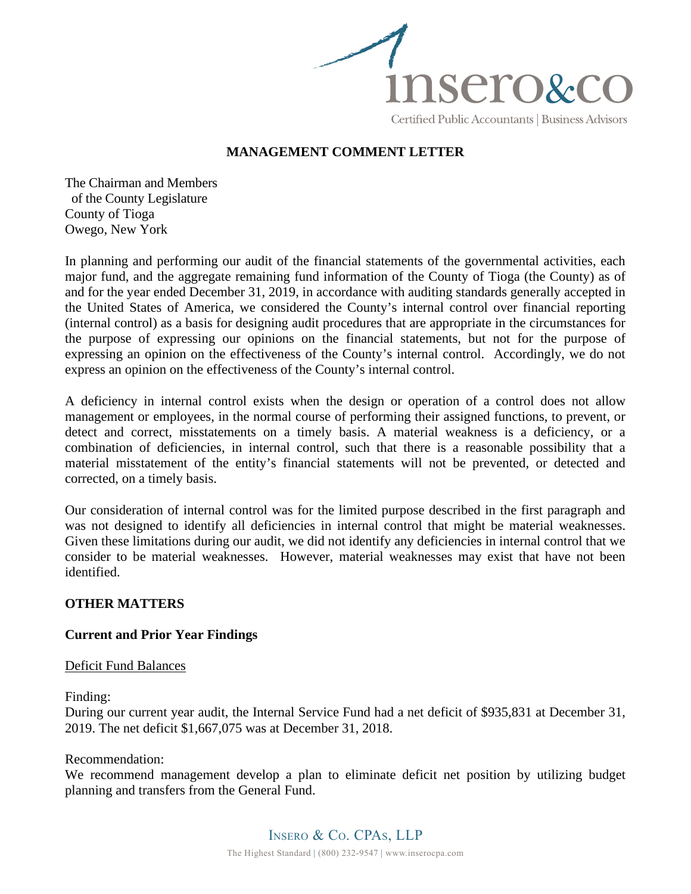

# **MANAGEMENT COMMENT LETTER**

The Chairman and Members of the County Legislature County of Tioga Owego, New York

In planning and performing our audit of the financial statements of the governmental activities, each major fund, and the aggregate remaining fund information of the County of Tioga (the County) as of and for the year ended December 31, 2019, in accordance with auditing standards generally accepted in the United States of America, we considered the County's internal control over financial reporting (internal control) as a basis for designing audit procedures that are appropriate in the circumstances for the purpose of expressing our opinions on the financial statements, but not for the purpose of expressing an opinion on the effectiveness of the County's internal control. Accordingly, we do not express an opinion on the effectiveness of the County's internal control.

A deficiency in internal control exists when the design or operation of a control does not allow management or employees, in the normal course of performing their assigned functions, to prevent, or detect and correct, misstatements on a timely basis. A material weakness is a deficiency, or a combination of deficiencies, in internal control, such that there is a reasonable possibility that a material misstatement of the entity's financial statements will not be prevented, or detected and corrected, on a timely basis.

Our consideration of internal control was for the limited purpose described in the first paragraph and was not designed to identify all deficiencies in internal control that might be material weaknesses. Given these limitations during our audit, we did not identify any deficiencies in internal control that we consider to be material weaknesses. However, material weaknesses may exist that have not been identified.

## **OTHER MATTERS**

## **Current and Prior Year Findings**

### Deficit Fund Balances

Finding:

During our current year audit, the Internal Service Fund had a net deficit of \$935,831 at December 31, 2019. The net deficit \$1,667,075 was at December 31, 2018.

### Recommendation:

We recommend management develop a plan to eliminate deficit net position by utilizing budget planning and transfers from the General Fund.